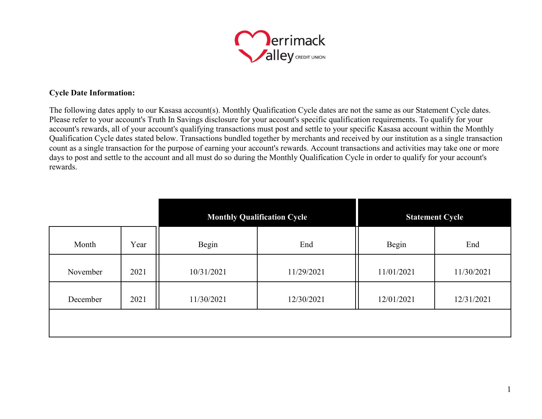

## **Cycle Date Information:**

The following dates apply to our Kasasa account(s). Monthly Qualification Cycle dates are not the same as our Statement Cycle dates. Please refer to your account's Truth In Savings disclosure for your account's specific qualification requirements. To qualify for your account's rewards, all of your account's qualifying transactions must post and settle to your specific Kasasa account within the Monthly Qualification Cycle dates stated below. Transactions bundled together by merchants and received by our institution as a single transaction count as a single transaction for the purpose of earning your account's rewards. Account transactions and activities may take one or more days to post and settle to the account and all must do so during the Monthly Qualification Cycle in order to qualify for your account's rewards.

|          |      | <b>Monthly Qualification Cycle</b> |            | <b>Statement Cycle</b> |            |
|----------|------|------------------------------------|------------|------------------------|------------|
| Month    | Year | Begin                              | End        | Begin                  | End        |
| November | 2021 | 10/31/2021                         | 11/29/2021 | 11/01/2021             | 11/30/2021 |
| December | 2021 | 11/30/2021                         | 12/30/2021 | 12/01/2021             | 12/31/2021 |
|          |      |                                    |            |                        |            |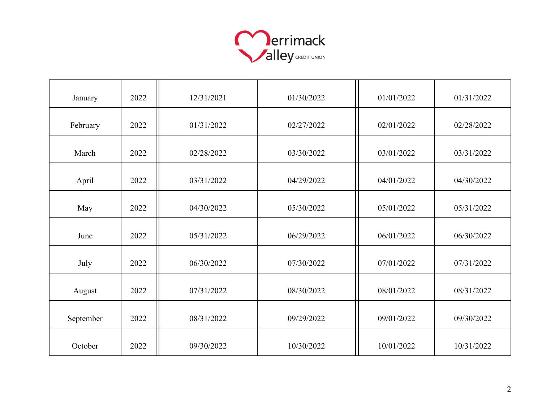

| January   | 2022 | 12/31/2021 | 01/30/2022 | 01/01/2022 | 01/31/2022 |
|-----------|------|------------|------------|------------|------------|
| February  | 2022 | 01/31/2022 | 02/27/2022 | 02/01/2022 | 02/28/2022 |
| March     | 2022 | 02/28/2022 | 03/30/2022 | 03/01/2022 | 03/31/2022 |
| April     | 2022 | 03/31/2022 | 04/29/2022 | 04/01/2022 | 04/30/2022 |
| May       | 2022 | 04/30/2022 | 05/30/2022 | 05/01/2022 | 05/31/2022 |
| June      | 2022 | 05/31/2022 | 06/29/2022 | 06/01/2022 | 06/30/2022 |
| July      | 2022 | 06/30/2022 | 07/30/2022 | 07/01/2022 | 07/31/2022 |
| August    | 2022 | 07/31/2022 | 08/30/2022 | 08/01/2022 | 08/31/2022 |
| September | 2022 | 08/31/2022 | 09/29/2022 | 09/01/2022 | 09/30/2022 |
| October   | 2022 | 09/30/2022 | 10/30/2022 | 10/01/2022 | 10/31/2022 |